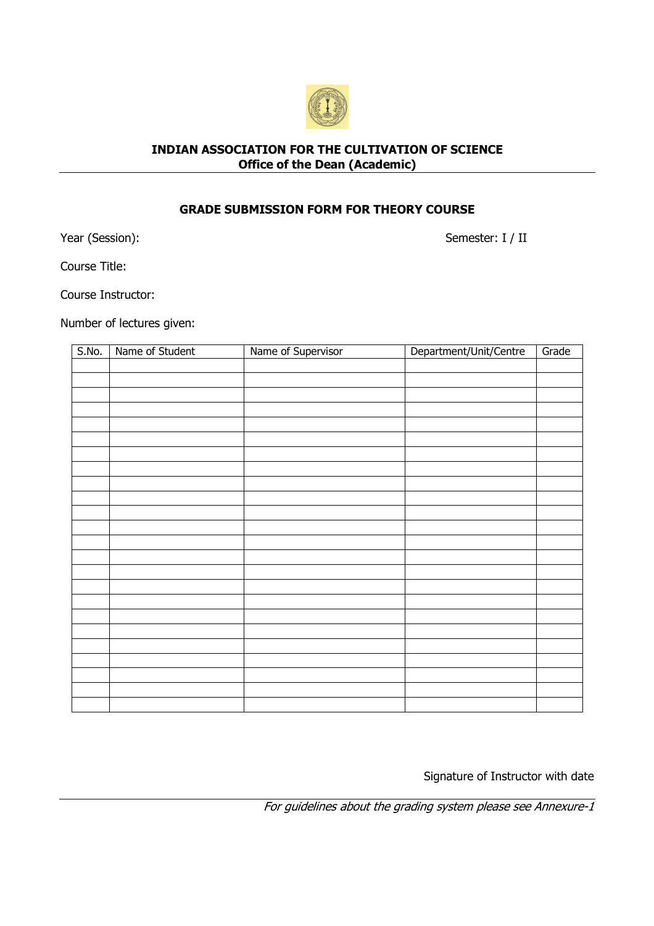

## INDIAN ASSOCIATION FOR THE CULTIVATION OF SCIENCE Office of the Dean (Academic)

## GRADE SUBMISSION FORM FOR THEORY COURSE

Year (Session):

Semester: I / II

Course Title:

Course Instructor:

Number of lectures given:

| S.No. | Name of Student | Name of Supervisor | Department/Unit/Centre | Grade |
|-------|-----------------|--------------------|------------------------|-------|
|       |                 |                    |                        |       |
|       |                 |                    |                        |       |
|       |                 |                    |                        |       |
|       |                 |                    |                        |       |
|       |                 |                    |                        |       |
|       |                 |                    |                        |       |
|       |                 |                    |                        |       |
|       |                 |                    |                        |       |
|       |                 |                    |                        |       |
|       |                 |                    |                        |       |
|       |                 |                    |                        |       |
|       |                 |                    |                        |       |
|       |                 |                    |                        |       |
|       |                 |                    |                        |       |
|       |                 |                    |                        |       |
|       |                 |                    |                        |       |
|       |                 |                    |                        |       |
|       |                 |                    |                        |       |
|       |                 |                    |                        |       |
|       |                 |                    |                        |       |
|       |                 |                    |                        |       |
|       |                 |                    |                        |       |
|       |                 |                    |                        |       |
|       |                 |                    |                        |       |

Signature of Instructor with date

For guidelines about the grading system please see Annexure-1